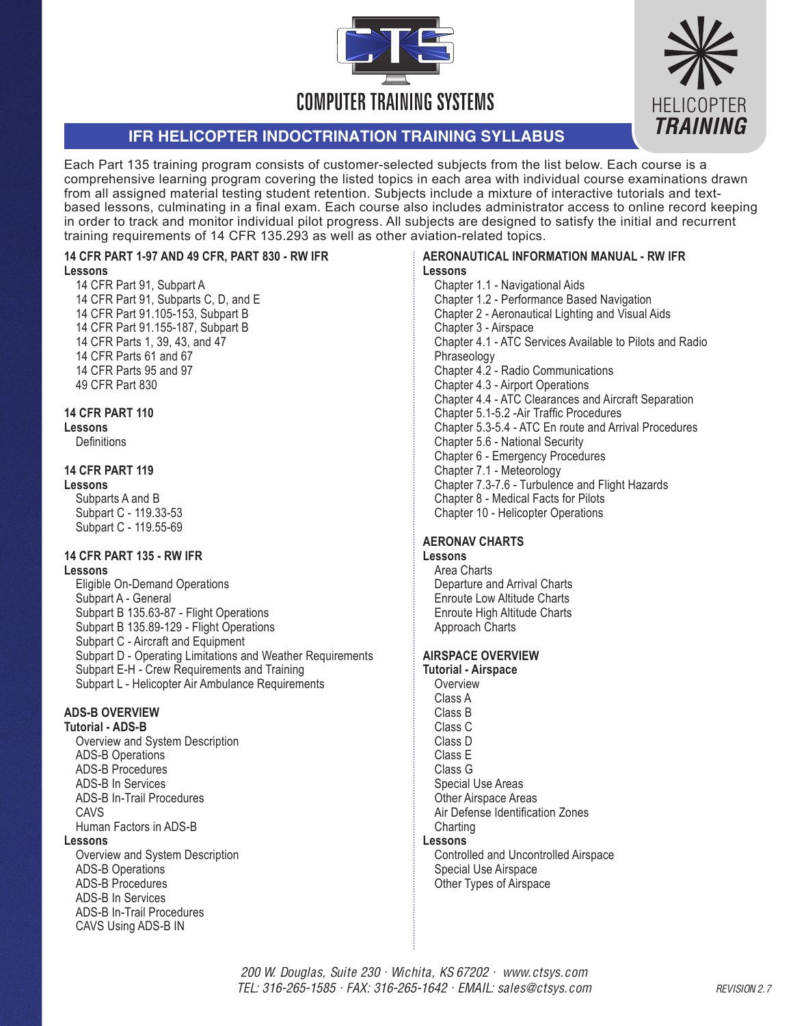



# **IFR HELICOPTER INDOCTRINATION TRAINING SYLLABUS**

Each Part 135 training program consists of customer-selected subjects from the list below. Each course is a comprehensive learning program covering the listed topics in each area with individual course examinations drawn from all assigned material testing student retention. Subjects include a mixture of interactive tutorials and textbased lessons, culminating in a final exam. Each course also includes administrator access to online record keeping in order to track and monitor individual pilot progress. All subjects are designed to satisfy the initial and recurrent training requirements of 14 CFR 135.293 as well as other aviation-related topics.

#### **14 CFR PART 1-97 AND 49 CFR, PART 830 - RW IFR Lessons**

14 CFR Part 91, Subpart A 14 CFR Part 91, Subparts C, D, and E 14 CFR Part 91.105-153, Subpart B 14 CFR Part 91.155-187, Subpart B 14 CFR Parts 1, 39, 43, and 47 14 CFR Parts 61 and 67 14 CFR Parts 95 and 97 49 CFR Part 830

# **14 CFR PART 110**

# **Lessons**

**Definitions** 

# **14 CFR PART 119**

**Lessons** Subparts A and B Subpart C - 119.33-53 Subpart C - 119.55-69

# **14 CFR PART 135 - RW IFR**

#### **Lessons**

Eligible On-Demand Operations Subpart A - General Subpart B 135.63-87 - Flight Operations Subpart B 135.89-129 - Flight Operations Subpart C - Aircraft and Equipment Subpart D - Operating Limitations and Weather Requirements Subpart E-H - Crew Requirements and Training Subpart L - Helicopter Air Ambulance Requirements

# **ADS-B OVERVIEW**

# **Tutorial - ADS-B**

Overview and System Description ADS-B Operations ADS-B Procedures ADS-B In Services ADS-B In-Trail Procedures CAV<sub>S</sub> Human Factors in ADS-B

# **Lessons**

Overview and System Description ADS-B Operations ADS-B Procedures ADS-B In Services ADS-B In-Trail Procedures CAVS Using ADS-B IN

#### **AERONAUTICAL INFORMATION MANUAL - RW IFR Lessons**

Chapter 1.1 - Navigational Aids Chapter 1.2 - Performance Based Navigation Chapter 2 - Aeronautical Lighting and Visual Aids Chapter 3 - Airspace Chapter 4.1 - ATC Services Available to Pilots and Radio **Phraseology** Chapter 4.2 - Radio Communications Chapter 4.3 - Airport Operations Chapter 4.4 - ATC Clearances and Aircraft Separation Chapter 5.1-5.2 -Air Traffic Procedures Chapter 5.3-5.4 - ATC En route and Arrival Procedures Chapter 5.6 - National Security Chapter 6 - Emergency Procedures Chapter 7.1 - Meteorology Chapter 7.3-7.6 - Turbulence and Flight Hazards Chapter 8 - Medical Facts for Pilots Chapter 10 - Helicopter Operations

# **AERONAV CHARTS**

# **Lessons**

Area Charts Departure and Arrival Charts Enroute Low Altitude Charts Enroute High Altitude Charts Approach Charts

# **AIRSPACE OVERVIEW**

**Tutorial - Airspace Overview** Class A Class B Class C Class D Class E Class G Special Use Areas Other Airspace Areas Air Defense Identification Zones **Charting Lessons**  Controlled and Uncontrolled Airspace Special Use Airspace Other Types of Airspace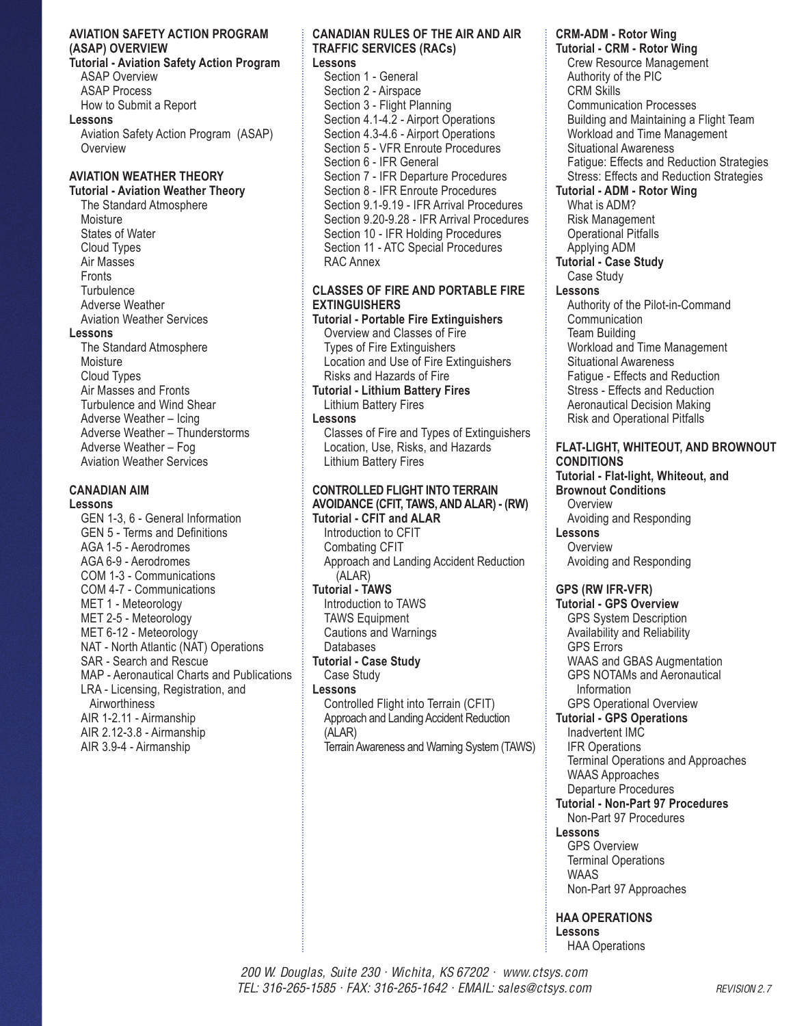## **AVIATION SAFETY ACTION PROGRAM (ASAP) OVERVIEW**

**Tutorial - Aviation Safety Action Program** ASAP Overview ASAP Process How to Submit a Report

**Lessons** 

Aviation Safety Action Program (ASAP) **Overview** 

# **AVIATION WEATHER THEORY**

# **Tutorial - Aviation Weather Theory**

The Standard Atmosphere Moisture States of Water Cloud Types Air Masses **Fronts Turbulence** Adverse Weather Aviation Weather Services **Lessons**  The Standard Atmosphere **Moisture** Cloud Types Air Masses and Fronts Turbulence and Wind Shear Adverse Weather – Icing Adverse Weather – Thunderstorms Adverse Weather – Fog Aviation Weather Services

# **CANADIAN AIM**

**Lessons** 

GEN 1-3, 6 - General Information GEN 5 - Terms and Definitions AGA 1-5 - Aerodromes AGA 6-9 - Aerodromes COM 1-3 - Communications COM 4-7 - Communications MET 1 - Meteorology MET 2-5 - Meteorology MET 6-12 - Meteorology NAT - North Atlantic (NAT) Operations SAR - Search and Rescue MAP - Aeronautical Charts and Publications LRA - Licensing, Registration, and **Airworthiness** AIR 1-2.11 - Airmanship AIR 2.12-3.8 - Airmanship AIR 3.9-4 - Airmanship

#### **CANADIAN RULES OF THE AIR AND AIR TRAFFIC SERVICES (RACs)**

**Lessons** 

Section 1 - General Section 2 - Airspace Section 3 - Flight Planning Section 4.1-4.2 - Airport Operations Section 4.3-4.6 - Airport Operations Section 5 - VFR Enroute Procedures Section 6 - IFR General Section 7 - IFR Departure Procedures Section 8 - IFR Enroute Procedures Section 9.1-9.19 - IFR Arrival Procedures Section 9.20-9.28 - IFR Arrival Procedures Section 10 - IFR Holding Procedures Section 11 - ATC Special Procedures RAC Annex

# **CLASSES OF FIRE AND PORTABLE FIRE EXTINGUISHERS**

**Tutorial - Portable Fire Extinguishers** Overview and Classes of Fire Types of Fire Extinguishers Location and Use of Fire Extinguishers Risks and Hazards of Fire **Tutorial - Lithium Battery Fires**  Lithium Battery Fires **Lessons**  Classes of Fire and Types of Extinguishers Location, Use, Risks, and Hazards Lithium Battery Fires

# **CONTROLLED FLIGHT INTO TERRAIN AVOIDANCE (CFIT, TAWS, AND ALAR) - (RW)**

**Tutorial - CFIT and ALAR** Introduction to CFIT Combating CFIT Approach and Landing Accident Reduction (ALAR) **Tutorial - TAWS** Introduction to TAWS TAWS Equipment Cautions and Warnings Databases **Tutorial - Case Study** Case Study **Lessons**  Controlled Flight into Terrain (CFIT) Approach and Landing Accident Reduction (ALAR) Terrain Awareness and Warning System (TAWS)

# **CRM-ADM - Rotor Wing**

**Tutorial - CRM - Rotor Wing** Crew Resource Management Authority of the PIC CRM Skills Communication Processes Building and Maintaining a Flight Team Workload and Time Management Situational Awareness Fatigue: Effects and Reduction Strategies Stress: Effects and Reduction Strategies **Tutorial - ADM - Rotor Wing** What is ADM? Risk Management Operational Pitfalls Applying ADM **Tutorial - Case Study** Case Study **Lessons**

Authority of the Pilot-in-Command Communication Team Building Workload and Time Management Situational Awareness Fatigue - Effects and Reduction Stress - Effects and Reduction Aeronautical Decision Making Risk and Operational Pitfalls

# **FLAT-LIGHT, WHITEOUT, AND BROWNOUT CONDITIONS**

**Tutorial - Flat-light, Whiteout, and Brownout Conditions Overview** Avoiding and Responding **Lessons Overview** Avoiding and Responding

# **GPS (RW IFR-VFR)**

**Tutorial - GPS Overview** GPS System Description Availability and Reliability GPS Errors WAAS and GBAS Augmentation GPS NOTAMs and Aeronautical Information

#### GPS Operational Overview **Tutorial - GPS Operations**

Inadvertent IMC IFR Operations Terminal Operations and Approaches WAAS Approaches

# Departure Procedures

**Tutorial - Non-Part 97 Procedures** Non-Part 97 Procedures

# **Lessons**

GPS Overview Terminal Operations WAAS Non-Part 97 Approaches

**HAA OPERATIONS Lessons** HAA Operations